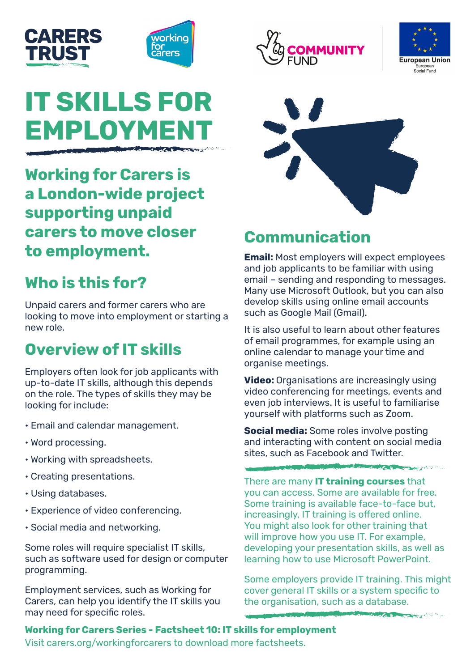



# **IT SKILLS FOR EMPLOYMEN**

**Working for Carers is a London-wide project supporting unpaid carers to move closer to employment.** 

# **Who is this for?**

Unpaid carers and former carers who are looking to move into employment or starting a new role.

### **Overview of IT skills**

Employers often look for job applicants with up-to-date IT skills, although this depends on the role. The types of skills they may be looking for include:

- Email and calendar management.
- Word processing.
- Working with spreadsheets.
- Creating presentations.
- Using databases.
- Experience of video conferencing.
- Social media and networking.

Some roles will require specialist IT skills, such as software used for design or computer programming.

Employment services, such as Working for Carers, can help you identify the IT skills you may need for specific roles.







# **Communication**

**Email:** Most employers will expect employees and job applicants to be familiar with using email – sending and responding to messages. Many use Microsoft Outlook, but you can also develop skills using online email accounts such as Google Mail (Gmail).

It is also useful to learn about other features of email programmes, for example using an online calendar to manage your time and organise meetings.

**Video:** Organisations are increasingly using video conferencing for meetings, events and even job interviews. It is useful to familiarise yourself with platforms such as Zoom.

**Social media:** Some roles involve posting and interacting with content on social media sites, such as Facebook and Twitter.

**Market Community Community of the Community of the Community of the Community of the Community** 

There are many **IT training courses** that you can access. Some are available for free. Some training is available face-to-face but, increasingly, IT training is offered online. You might also look for other training that will improve how you use IT. For example, developing your presentation skills, as well as learning how to use Microsoft PowerPoint.

Some employers provide IT training. This might cover general IT skills or a system specific to the organisation, such as a database.

And Car and Captive to a

**Working for Carers Series - Factsheet 10: IT skills for employment** Visit carers.org/workingforcarers to download more factsheets.